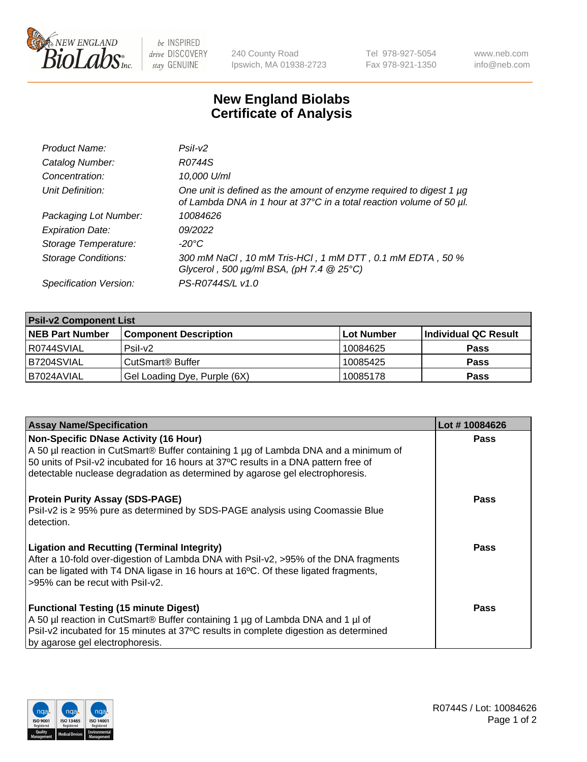

 $be$  INSPIRED drive DISCOVERY stay GENUINE

240 County Road Ipswich, MA 01938-2723 Tel 978-927-5054 Fax 978-921-1350 www.neb.com info@neb.com

## **New England Biolabs Certificate of Analysis**

| Product Name:              | Psi2                                                                                                                                        |
|----------------------------|---------------------------------------------------------------------------------------------------------------------------------------------|
| Catalog Number:            | R0744S                                                                                                                                      |
| Concentration:             | 10,000 U/ml                                                                                                                                 |
| Unit Definition:           | One unit is defined as the amount of enzyme required to digest 1 µg<br>of Lambda DNA in 1 hour at 37°C in a total reaction volume of 50 µl. |
| Packaging Lot Number:      | 10084626                                                                                                                                    |
| <b>Expiration Date:</b>    | 09/2022                                                                                                                                     |
| Storage Temperature:       | $-20^{\circ}$ C                                                                                                                             |
| <b>Storage Conditions:</b> | 300 mM NaCl, 10 mM Tris-HCl, 1 mM DTT, 0.1 mM EDTA, 50 %<br>Glycerol, 500 $\mu$ g/ml BSA, (pH 7.4 $@25°C$ )                                 |
| Specification Version:     | PS-R0744S/L v1.0                                                                                                                            |

| <b>Psil-v2 Component List</b> |                              |            |                      |  |  |
|-------------------------------|------------------------------|------------|----------------------|--|--|
| <b>NEB Part Number</b>        | <b>Component Description</b> | Lot Number | Individual QC Result |  |  |
| I R0744SVIAL                  | $P$ sil-v $2$                | 10084625   | <b>Pass</b>          |  |  |
| B7204SVIAL                    | CutSmart <sup>®</sup> Buffer | 10085425   | <b>Pass</b>          |  |  |
| I B7024AVIAL                  | Gel Loading Dye, Purple (6X) | 10085178   | <b>Pass</b>          |  |  |

| <b>Assay Name/Specification</b>                                                                                                                                                                                                                                     | Lot #10084626 |
|---------------------------------------------------------------------------------------------------------------------------------------------------------------------------------------------------------------------------------------------------------------------|---------------|
| <b>Non-Specific DNase Activity (16 Hour)</b><br>A 50 µl reaction in CutSmart® Buffer containing 1 µg of Lambda DNA and a minimum of<br>50 units of Psil-v2 incubated for 16 hours at 37°C results in a DNA pattern free of                                          | <b>Pass</b>   |
| detectable nuclease degradation as determined by agarose gel electrophoresis.                                                                                                                                                                                       |               |
| <b>Protein Purity Assay (SDS-PAGE)</b><br>Psil-v2 is ≥ 95% pure as determined by SDS-PAGE analysis using Coomassie Blue<br>detection.                                                                                                                               | Pass          |
| <b>Ligation and Recutting (Terminal Integrity)</b><br>After a 10-fold over-digestion of Lambda DNA with Psil-v2, >95% of the DNA fragments<br>can be ligated with T4 DNA ligase in 16 hours at 16°C. Of these ligated fragments,<br>>95% can be recut with Psil-v2. | <b>Pass</b>   |
| <b>Functional Testing (15 minute Digest)</b><br>A 50 µl reaction in CutSmart® Buffer containing 1 µg of Lambda DNA and 1 µl of<br>Psil-v2 incubated for 15 minutes at 37°C results in complete digestion as determined<br>by agarose gel electrophoresis.           | Pass          |